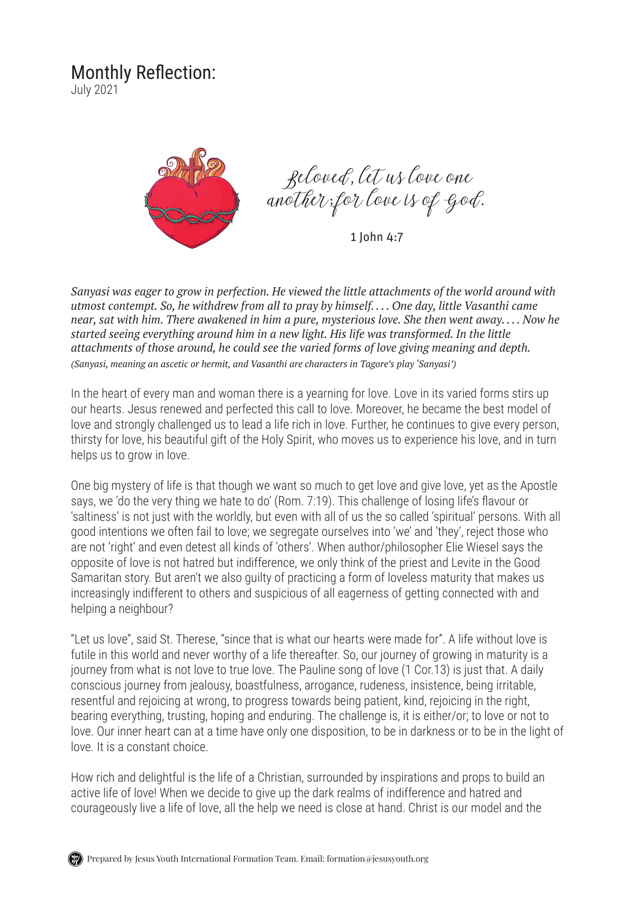## Monthly Reflection:

July 2021



Beloved, let us love one another; for love is of God.

1 John 4:7

*Sanyasi was eager to grow in perfection. He viewed the little attachments of the world around with utmost contempt. So, he withdrew from all to pray by himself. . . . One day, little Vasanthi came near, sat with him. There awakened in him a pure, mysterious love. She then went away. . . . Now he started seeing everything around him in a new light. His life was transformed. In the little attachments of those around, he could see the varied forms of love giving meaning and depth. (Sanyasi, meaning an ascetic or hermit, and Vasanthi are characters in Tagore's play 'Sanyasi')*

In the heart of every man and woman there is a yearning for love. Love in its varied forms stirs up our hearts. Jesus renewed and perfected this call to love. Moreover, he became the best model of love and strongly challenged us to lead a life rich in love. Further, he continues to give every person, thirsty for love, his beautiful gift of the Holy Spirit, who moves us to experience his love, and in turn helps us to grow in love.

One big mystery of life is that though we want so much to get love and give love, yet as the Apostle says, we 'do the very thing we hate to do' (Rom. 7:19). This challenge of losing life's flavour or 'saltiness' is not just with the worldly, but even with all of us the so called 'spiritual' persons. With all good intentions we often fail to love; we segregate ourselves into 'we' and 'they', reject those who are not 'right' and even detest all kinds of 'others'. When author/philosopher Elie Wiesel says the opposite of love is not hatred but indifference, we only think of the priest and Levite in the Good Samaritan story. But aren't we also guilty of practicing a form of loveless maturity that makes us increasingly indifferent to others and suspicious of all eagerness of getting connected with and helping a neighbour?

"Let us love", said St. Therese, "since that is what our hearts were made for". A life without love is futile in this world and never worthy of a life thereafter. So, our journey of growing in maturity is a journey from what is not love to true love. The Pauline song of love (1 Cor.13) is just that. A daily conscious journey from jealousy, boastfulness, arrogance, rudeness, insistence, being irritable, resentful and rejoicing at wrong, to progress towards being patient, kind, rejoicing in the right, bearing everything, trusting, hoping and enduring. The challenge is, it is either/or; to love or not to love. Our inner heart can at a time have only one disposition, to be in darkness or to be in the light of love. It is a constant choice.

How rich and delightful is the life of a Christian, surrounded by inspirations and props to build an active life of love! When we decide to give up the dark realms of indifference and hatred and courageously live a life of love, all the help we need is close at hand. Christ is our model and the